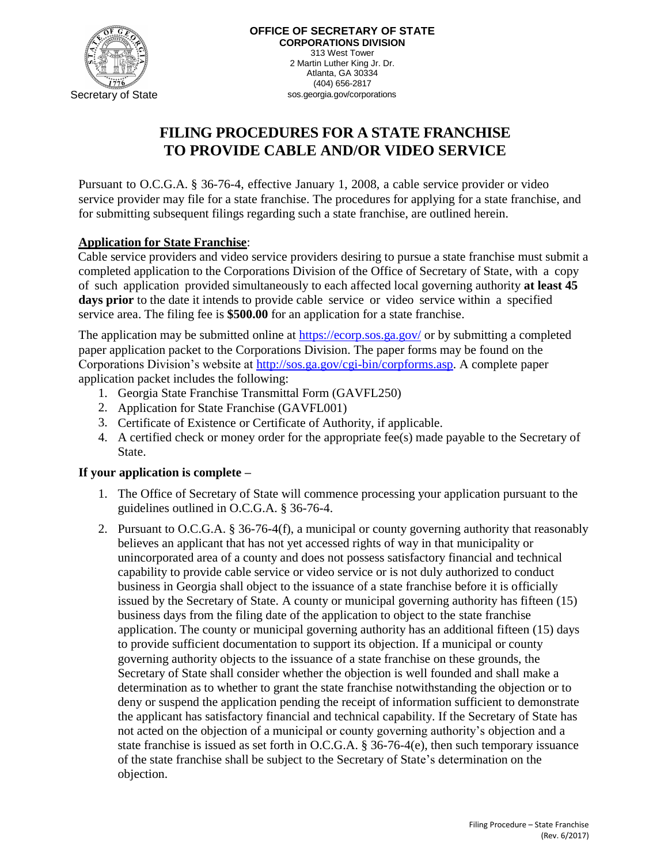

# **FILING PROCEDURES FOR A STATE FRANCHISE TO PROVIDE CABLE AND/OR VIDEO SERVICE**

Pursuant to O.C.G.A. § 36-76-4, effective January 1, 2008, a cable service provider or video service provider may file for a state franchise. The procedures for applying for a state franchise, and for submitting subsequent filings regarding such a state franchise, are outlined herein.

# **Application for State Franchise**:

Cable service providers and video service providers desiring to pursue a state franchise must submit a completed application to the Corporations Division of the Office of Secretary of State, with a copy of such application provided simultaneously to each affected local governing authority **at least 45**  days prior to the date it intends to provide cable service or video service within a specified service area. The filing fee is **\$500.00** for an application for a state franchise.

The application may be submitted online at<https://ecorp.sos.ga.gov/> or by submitting a completed paper application packet to the Corporations Division. The paper forms may be found on the Corporations Division's website at [http://sos.ga.gov/cgi-bin/corpforms.asp.](http://sos.ga.gov/cgi-bin/corpforms.asp) A complete paper application packet includes the following:

- 1. Georgia State Franchise Transmittal Form (GAVFL250)
- 2. Application for State Franchise (GAVFL001)
- 3. Certificate of Existence or Certificate of Authority, if applicable.
- 4. A certified check or money order for the appropriate fee(s) made payable to the Secretary of State.

# **If your application is complete –**

- 1. The Office of Secretary of State will commence processing your application pursuant to the guidelines outlined in O.C.G.A. § 36-76-4.
- 2. Pursuant to O.C.G.A. § 36-76-4(f), a municipal or county governing authority that reasonably believes an applicant that has not yet accessed rights of way in that municipality or unincorporated area of a county and does not possess satisfactory financial and technical capability to provide cable service or video service or is not duly authorized to conduct business in Georgia shall object to the issuance of a state franchise before it is officially issued by the Secretary of State. A county or municipal governing authority has fifteen (15) business days from the filing date of the application to object to the state franchise application. The county or municipal governing authority has an additional fifteen (15) days to provide sufficient documentation to support its objection. If a municipal or county governing authority objects to the issuance of a state franchise on these grounds, the Secretary of State shall consider whether the objection is well founded and shall make a determination as to whether to grant the state franchise notwithstanding the objection or to deny or suspend the application pending the receipt of information sufficient to demonstrate the applicant has satisfactory financial and technical capability. If the Secretary of State has not acted on the objection of a municipal or county governing authority's objection and a state franchise is issued as set forth in O.C.G.A. § 36-76-4(e), then such temporary issuance of the state franchise shall be subject to the Secretary of State's determination on the objection.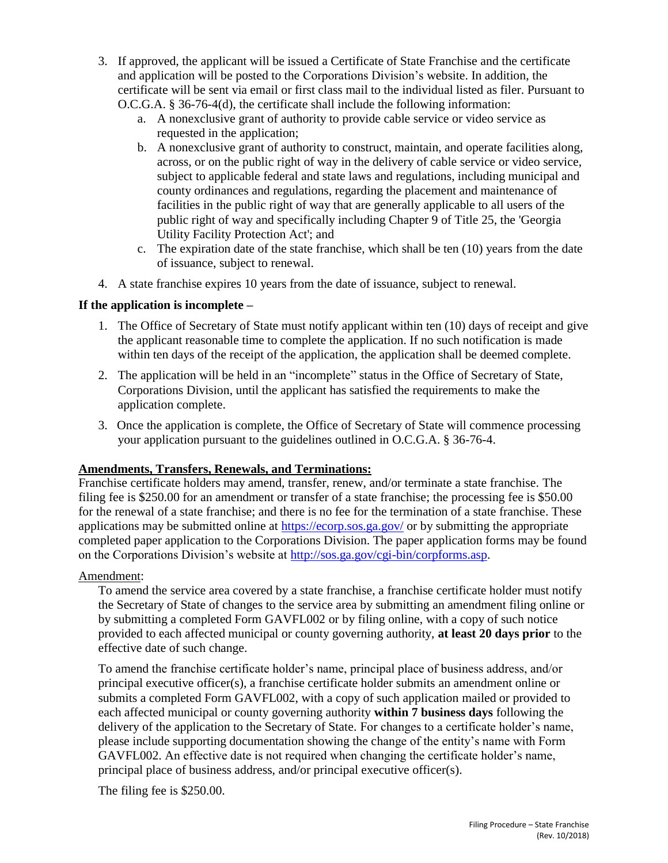- 3. If approved, the applicant will be issued a Certificate of State Franchise and the certificate and application will be posted to the Corporations Division's website. In addition, the certificate will be sent via email or first class mail to the individual listed as filer. Pursuant to O.C.G.A. § 36-76-4(d), the certificate shall include the following information:
	- a. A nonexclusive grant of authority to provide cable service or video service as requested in the application;
	- b. A nonexclusive grant of authority to construct, maintain, and operate facilities along, across, or on the public right of way in the delivery of cable service or video service, subject to applicable federal and state laws and regulations, including municipal and county ordinances and regulations, regarding the placement and maintenance of facilities in the public right of way that are generally applicable to all users of the public right of way and specifically including Chapter 9 of Title 25, the 'Georgia Utility Facility Protection Act'; and
	- c. The expiration date of the state franchise, which shall be ten (10) years from the date of issuance, subject to renewal.
- 4. A state franchise expires 10 years from the date of issuance, subject to renewal.

### **If the application is incomplete –**

- 1. The Office of Secretary of State must notify applicant within ten (10) days of receipt and give the applicant reasonable time to complete the application. If no such notification is made within ten days of the receipt of the application, the application shall be deemed complete.
- 2. The application will be held in an "incomplete" status in the Office of Secretary of State, Corporations Division, until the applicant has satisfied the requirements to make the application complete.
- 3. Once the application is complete, the Office of Secretary of State will commence processing your application pursuant to the guidelines outlined in O.C.G.A. § 36-76-4.

# **Amendments, Transfers, Renewals, and Terminations:**

Franchise certificate holders may amend, transfer, renew, and/or terminate a state franchise. The filing fee is \$250.00 for an amendment or transfer of a state franchise; the processing fee is \$50.00 for the renewal of a state franchise; and there is no fee for the termination of a state franchise. These applications may be submitted online at<https://ecorp.sos.ga.gov/> or by submitting the appropriate completed paper application to the Corporations Division. The paper application forms may be found on the Corporations Division's website at [http://sos.ga.gov/cgi-bin/corpforms.asp.](http://sos.ga.gov/cgi-bin/corpforms.asp)

#### Amendment:

To amend the service area covered by a state franchise, a franchise certificate holder must notify the Secretary of State of changes to the service area by submitting an amendment filing online or by submitting a completed Form GAVFL002 or by filing online, with a copy of such notice provided to each affected municipal or county governing authority, **at least 20 days prior** to the effective date of such change.

To amend the franchise certificate holder's name, principal place of business address, and/or principal executive officer(s), a franchise certificate holder submits an amendment online or submits a completed Form GAVFL002, with a copy of such application mailed or provided to each affected municipal or county governing authority **within 7 business days** following the delivery of the application to the Secretary of State. For changes to a certificate holder's name, please include supporting documentation showing the change of the entity's name with Form GAVFL002. An effective date is not required when changing the certificate holder's name, principal place of business address, and/or principal executive officer(s).

The filing fee is \$250.00.